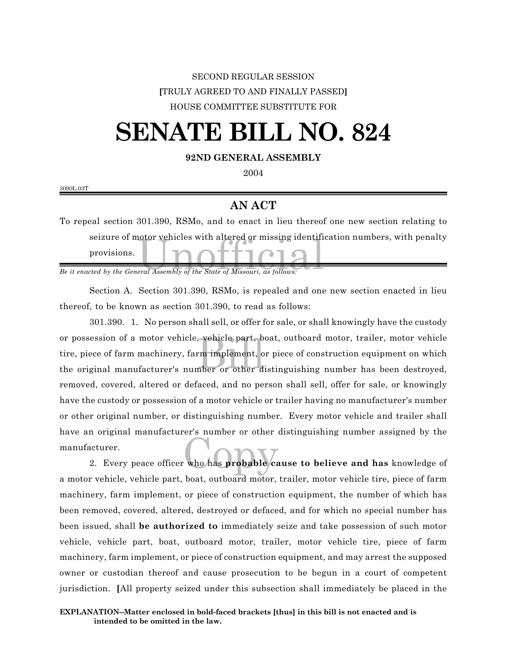## SECOND REGULAR SESSION **[**TRULY AGREED TO AND FINALLY PASSED**]** HOUSE COMMITTEE SUBSTITUTE FOR

## **SENATE BILL NO. 824**

## **92ND GENERAL ASSEMBLY**

2004

3090L.03T

## **AN ACT**

seizure of motor vehicles with altered or missing identified<br>provisions.<br>*Be it enacted by the General Assembly of the State of Missouri, as follows:* To repeal section 301.390, RSMo, and to enact in lieu thereof one new section relating to seizure of motor vehicles with altered or missing identification numbers, with penalty provisions.

Section A. Section 301.390, RSMo, is repealed and one new section enacted in lieu thereof, to be known as section 301.390, to read as follows:

wehicle part, b,<br>rm implement, o<br>nber or other d. 301.390. 1. No person shall sell, or offer for sale, or shall knowingly have the custody or possession of a motor vehicle, vehicle part, boat, outboard motor, trailer, motor vehicle tire, piece of farm machinery, farm implement, or piece of construction equipment on which the original manufacturer's number or other distinguishing number has been destroyed, removed, covered, altered or defaced, and no person shall sell, offer for sale, or knowingly have the custody or possession of a motor vehicle or trailer having no manufacturer's number or other original number, or distinguishing number. Every motor vehicle and trailer shall have an original manufacturer's number or other distinguishing number assigned by the manufacturer.

who has probable ca 2. Every peace officer who has **probable cause to believe and has** knowledge of a motor vehicle, vehicle part, boat, outboard motor, trailer, motor vehicle tire, piece of farm machinery, farm implement, or piece of construction equipment, the number of which has been removed, covered, altered, destroyed or defaced, and for which no special number has been issued, shall **be authorized to** immediately seize and take possession of such motor vehicle, vehicle part, boat, outboard motor, trailer, motor vehicle tire, piece of farm machinery, farm implement, or piece of construction equipment, and may arrest the supposed owner or custodian thereof and cause prosecution to be begun in a court of competent jurisdiction. **[**All property seized under this subsection shall immediately be placed in the